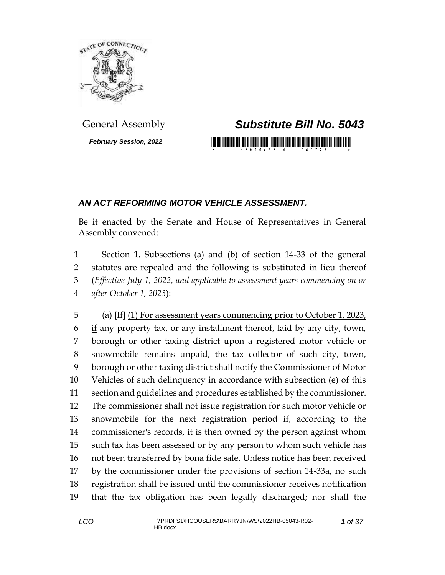

*February Session, 2022*

## General Assembly *Substitute Bill No. 5043*

## *AN ACT REFORMING MOTOR VEHICLE ASSESSMENT.*

Be it enacted by the Senate and House of Representatives in General Assembly convened:

 Section 1. Subsections (a) and (b) of section 14-33 of the general statutes are repealed and the following is substituted in lieu thereof (*Effective July 1, 2022, and applicable to assessment years commencing on or after October 1, 2023*):

 (a) **[**If**]** (1) For assessment years commencing prior to October 1, 2023, if any property tax, or any installment thereof, laid by any city, town, borough or other taxing district upon a registered motor vehicle or snowmobile remains unpaid, the tax collector of such city, town, borough or other taxing district shall notify the Commissioner of Motor Vehicles of such delinquency in accordance with subsection (e) of this section and guidelines and procedures established by the commissioner. The commissioner shall not issue registration for such motor vehicle or snowmobile for the next registration period if, according to the commissioner's records, it is then owned by the person against whom such tax has been assessed or by any person to whom such vehicle has not been transferred by bona fide sale. Unless notice has been received by the commissioner under the provisions of section 14-33a, no such registration shall be issued until the commissioner receives notification that the tax obligation has been legally discharged; nor shall the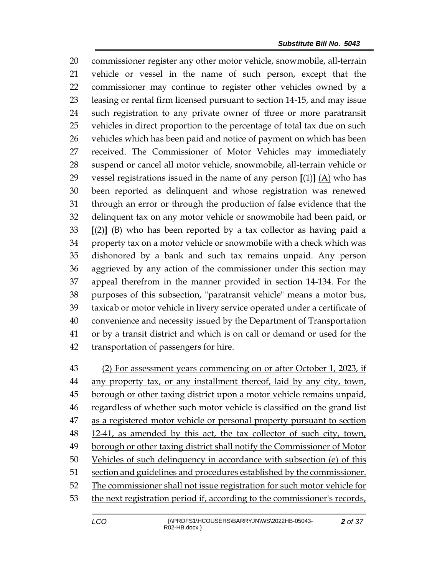commissioner register any other motor vehicle, snowmobile, all-terrain vehicle or vessel in the name of such person, except that the commissioner may continue to register other vehicles owned by a leasing or rental firm licensed pursuant to section 14-15, and may issue such registration to any private owner of three or more paratransit vehicles in direct proportion to the percentage of total tax due on such vehicles which has been paid and notice of payment on which has been received. The Commissioner of Motor Vehicles may immediately suspend or cancel all motor vehicle, snowmobile, all-terrain vehicle or 29 vessel registrations issued in the name of any person  $[(1)]$   $(A)$  who has been reported as delinquent and whose registration was renewed through an error or through the production of false evidence that the delinquent tax on any motor vehicle or snowmobile had been paid, or **[**(2)**]** (B) who has been reported by a tax collector as having paid a property tax on a motor vehicle or snowmobile with a check which was dishonored by a bank and such tax remains unpaid. Any person aggrieved by any action of the commissioner under this section may appeal therefrom in the manner provided in section 14-134. For the purposes of this subsection, "paratransit vehicle" means a motor bus, taxicab or motor vehicle in livery service operated under a certificate of convenience and necessity issued by the Department of Transportation or by a transit district and which is on call or demand or used for the transportation of passengers for hire.

 (2) For assessment years commencing on or after October 1, 2023, if 44 any property tax, or any installment thereof, laid by any city, town, 45 borough or other taxing district upon a motor vehicle remains unpaid, regardless of whether such motor vehicle is classified on the grand list 47 as a registered motor vehicle or personal property pursuant to section 48 12-41, as amended by this act, the tax collector of such city, town, borough or other taxing district shall notify the Commissioner of Motor Vehicles of such delinquency in accordance with subsection (e) of this section and guidelines and procedures established by the commissioner. The commissioner shall not issue registration for such motor vehicle for the next registration period if, according to the commissioner's records,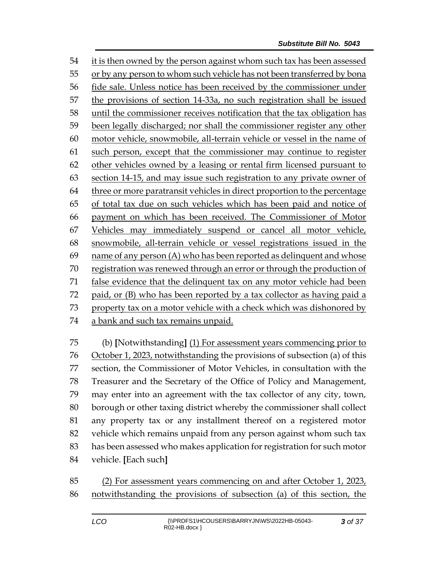it is then owned by the person against whom such tax has been assessed or by any person to whom such vehicle has not been transferred by bona fide sale. Unless notice has been received by the commissioner under the provisions of section 14-33a, no such registration shall be issued until the commissioner receives notification that the tax obligation has been legally discharged; nor shall the commissioner register any other motor vehicle, snowmobile, all-terrain vehicle or vessel in the name of such person, except that the commissioner may continue to register other vehicles owned by a leasing or rental firm licensed pursuant to section 14-15, and may issue such registration to any private owner of three or more paratransit vehicles in direct proportion to the percentage of total tax due on such vehicles which has been paid and notice of payment on which has been received. The Commissioner of Motor Vehicles may immediately suspend or cancel all motor vehicle, snowmobile, all-terrain vehicle or vessel registrations issued in the name of any person (A) who has been reported as delinquent and whose registration was renewed through an error or through the production of false evidence that the delinquent tax on any motor vehicle had been paid, or (B) who has been reported by a tax collector as having paid a 73 property tax on a motor vehicle with a check which was dishonored by a bank and such tax remains unpaid.

 (b) **[**Notwithstanding**]** (1) For assessment years commencing prior to October 1, 2023, notwithstanding the provisions of subsection (a) of this section, the Commissioner of Motor Vehicles, in consultation with the Treasurer and the Secretary of the Office of Policy and Management, may enter into an agreement with the tax collector of any city, town, borough or other taxing district whereby the commissioner shall collect any property tax or any installment thereof on a registered motor vehicle which remains unpaid from any person against whom such tax has been assessed who makes application for registration for such motor vehicle. **[**Each such**]**

 (2) For assessment years commencing on and after October 1, 2023, notwithstanding the provisions of subsection (a) of this section, the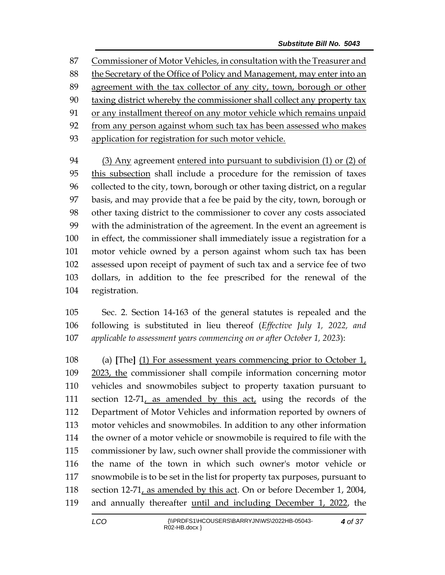Commissioner of Motor Vehicles, in consultation with the Treasurer and

88 the Secretary of the Office of Policy and Management, may enter into an

- agreement with the tax collector of any city, town, borough or other
- taxing district whereby the commissioner shall collect any property tax
- or any installment thereof on any motor vehicle which remains unpaid

from any person against whom such tax has been assessed who makes

application for registration for such motor vehicle.

 (3) Any agreement entered into pursuant to subdivision (1) or (2) of this subsection shall include a procedure for the remission of taxes collected to the city, town, borough or other taxing district, on a regular basis, and may provide that a fee be paid by the city, town, borough or other taxing district to the commissioner to cover any costs associated with the administration of the agreement. In the event an agreement is in effect, the commissioner shall immediately issue a registration for a motor vehicle owned by a person against whom such tax has been assessed upon receipt of payment of such tax and a service fee of two dollars, in addition to the fee prescribed for the renewal of the registration.

 Sec. 2. Section 14-163 of the general statutes is repealed and the following is substituted in lieu thereof (*Effective July 1, 2022, and applicable to assessment years commencing on or after October 1, 2023*):

 (a) **[**The**]** (1) For assessment years commencing prior to October 1, 2023, the commissioner shall compile information concerning motor vehicles and snowmobiles subject to property taxation pursuant to section 12-71, as amended by this act, using the records of the Department of Motor Vehicles and information reported by owners of motor vehicles and snowmobiles. In addition to any other information the owner of a motor vehicle or snowmobile is required to file with the commissioner by law, such owner shall provide the commissioner with the name of the town in which such owner's motor vehicle or snowmobile is to be set in the list for property tax purposes, pursuant to section 12-71, as amended by this act. On or before December 1, 2004, and annually thereafter until and including December 1, 2022, the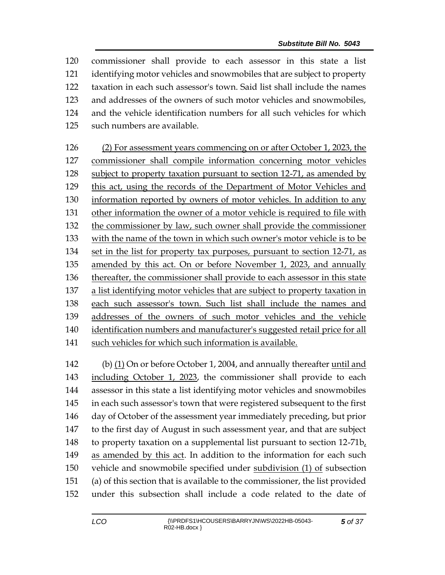commissioner shall provide to each assessor in this state a list identifying motor vehicles and snowmobiles that are subject to property taxation in each such assessor's town. Said list shall include the names and addresses of the owners of such motor vehicles and snowmobiles, and the vehicle identification numbers for all such vehicles for which such numbers are available. (2) For assessment years commencing on or after October 1, 2023, the commissioner shall compile information concerning motor vehicles subject to property taxation pursuant to section 12-71, as amended by this act, using the records of the Department of Motor Vehicles and information reported by owners of motor vehicles. In addition to any other information the owner of a motor vehicle is required to file with the commissioner by law, such owner shall provide the commissioner with the name of the town in which such owner's motor vehicle is to be set in the list for property tax purposes, pursuant to section 12-71, as amended by this act. On or before November 1, 2023, and annually thereafter, the commissioner shall provide to each assessor in this state a list identifying motor vehicles that are subject to property taxation in each such assessor's town. Such list shall include the names and addresses of the owners of such motor vehicles and the vehicle

 identification numbers and manufacturer's suggested retail price for all such vehicles for which such information is available.

 (b) (1) On or before October 1, 2004, and annually thereafter until and including October 1, 2023, the commissioner shall provide to each assessor in this state a list identifying motor vehicles and snowmobiles in each such assessor's town that were registered subsequent to the first day of October of the assessment year immediately preceding, but prior to the first day of August in such assessment year, and that are subject to property taxation on a supplemental list pursuant to section 12-71b, as amended by this act. In addition to the information for each such vehicle and snowmobile specified under subdivision (1) of subsection (a) of this section that is available to the commissioner, the list provided under this subsection shall include a code related to the date of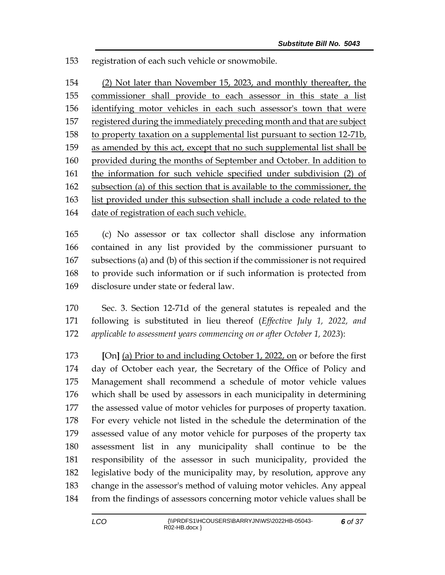registration of each such vehicle or snowmobile.

 (2) Not later than November 15, 2023, and monthly thereafter, the commissioner shall provide to each assessor in this state a list identifying motor vehicles in each such assessor's town that were 157 registered during the immediately preceding month and that are subject 158 to property taxation on a supplemental list pursuant to section 12-71b, as amended by this act, except that no such supplemental list shall be provided during the months of September and October. In addition to the information for such vehicle specified under subdivision (2) of subsection (a) of this section that is available to the commissioner, the list provided under this subsection shall include a code related to the date of registration of each such vehicle.

 (c) No assessor or tax collector shall disclose any information contained in any list provided by the commissioner pursuant to subsections (a) and (b) of this section if the commissioner is not required to provide such information or if such information is protected from disclosure under state or federal law.

 Sec. 3. Section 12-71d of the general statutes is repealed and the following is substituted in lieu thereof (*Effective July 1, 2022, and applicable to assessment years commencing on or after October 1, 2023*):

 **[**On**]** (a) Prior to and including October 1, 2022, on or before the first day of October each year, the Secretary of the Office of Policy and Management shall recommend a schedule of motor vehicle values which shall be used by assessors in each municipality in determining the assessed value of motor vehicles for purposes of property taxation. For every vehicle not listed in the schedule the determination of the assessed value of any motor vehicle for purposes of the property tax assessment list in any municipality shall continue to be the responsibility of the assessor in such municipality, provided the legislative body of the municipality may, by resolution, approve any change in the assessor's method of valuing motor vehicles. Any appeal from the findings of assessors concerning motor vehicle values shall be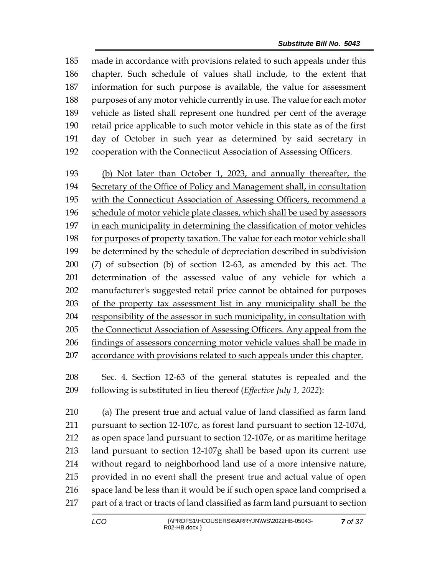made in accordance with provisions related to such appeals under this chapter. Such schedule of values shall include, to the extent that information for such purpose is available, the value for assessment 188 purposes of any motor vehicle currently in use. The value for each motor vehicle as listed shall represent one hundred per cent of the average retail price applicable to such motor vehicle in this state as of the first day of October in such year as determined by said secretary in cooperation with the Connecticut Association of Assessing Officers.

 (b) Not later than October 1, 2023, and annually thereafter, the Secretary of the Office of Policy and Management shall, in consultation 195 with the Connecticut Association of Assessing Officers, recommend a schedule of motor vehicle plate classes, which shall be used by assessors in each municipality in determining the classification of motor vehicles for purposes of property taxation. The value for each motor vehicle shall be determined by the schedule of depreciation described in subdivision (7) of subsection (b) of section 12-63, as amended by this act. The determination of the assessed value of any vehicle for which a manufacturer's suggested retail price cannot be obtained for purposes of the property tax assessment list in any municipality shall be the responsibility of the assessor in such municipality, in consultation with 205 the Connecticut Association of Assessing Officers. Any appeal from the findings of assessors concerning motor vehicle values shall be made in accordance with provisions related to such appeals under this chapter.

 Sec. 4. Section 12-63 of the general statutes is repealed and the following is substituted in lieu thereof (*Effective July 1, 2022*):

 (a) The present true and actual value of land classified as farm land pursuant to section 12-107c, as forest land pursuant to section 12-107d, as open space land pursuant to section 12-107e, or as maritime heritage land pursuant to section 12-107g shall be based upon its current use without regard to neighborhood land use of a more intensive nature, provided in no event shall the present true and actual value of open space land be less than it would be if such open space land comprised a part of a tract or tracts of land classified as farm land pursuant to section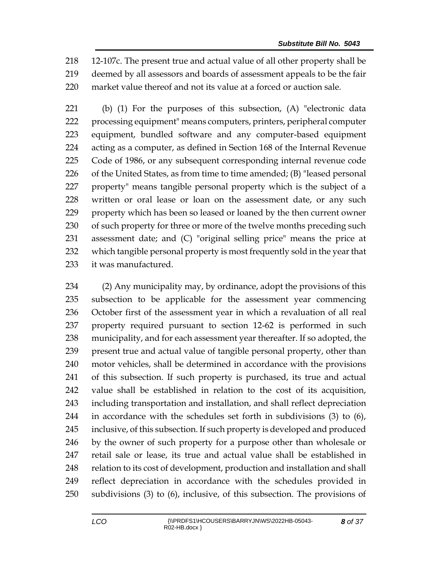12-107c. The present true and actual value of all other property shall be deemed by all assessors and boards of assessment appeals to be the fair market value thereof and not its value at a forced or auction sale.

 (b) (1) For the purposes of this subsection, (A) "electronic data processing equipment" means computers, printers, peripheral computer equipment, bundled software and any computer-based equipment acting as a computer, as defined in Section 168 of the Internal Revenue Code of 1986, or any subsequent corresponding internal revenue code of the United States, as from time to time amended; (B) "leased personal property" means tangible personal property which is the subject of a 228 written or oral lease or loan on the assessment date, or any such property which has been so leased or loaned by the then current owner 230 of such property for three or more of the twelve months preceding such assessment date; and (C) "original selling price" means the price at which tangible personal property is most frequently sold in the year that it was manufactured.

 (2) Any municipality may, by ordinance, adopt the provisions of this subsection to be applicable for the assessment year commencing October first of the assessment year in which a revaluation of all real property required pursuant to section 12-62 is performed in such municipality, and for each assessment year thereafter. If so adopted, the present true and actual value of tangible personal property, other than motor vehicles, shall be determined in accordance with the provisions of this subsection. If such property is purchased, its true and actual value shall be established in relation to the cost of its acquisition, including transportation and installation, and shall reflect depreciation in accordance with the schedules set forth in subdivisions (3) to (6), inclusive, of this subsection. If such property is developed and produced by the owner of such property for a purpose other than wholesale or retail sale or lease, its true and actual value shall be established in 248 relation to its cost of development, production and installation and shall reflect depreciation in accordance with the schedules provided in subdivisions (3) to (6), inclusive, of this subsection. The provisions of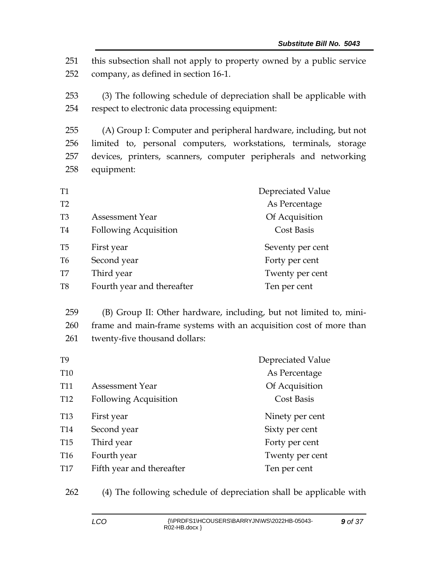251 this subsection shall not apply to property owned by a public service 252 company, as defined in section 16-1.

253 (3) The following schedule of depreciation shall be applicable with 254 respect to electronic data processing equipment:

 (A) Group I: Computer and peripheral hardware, including, but not limited to, personal computers, workstations, terminals, storage devices, printers, scanners, computer peripherals and networking equipment:

| T <sub>1</sub> |                              | Depreciated Value |
|----------------|------------------------------|-------------------|
| T2             |                              | As Percentage     |
| T <sub>3</sub> | Assessment Year              | Of Acquisition    |
| T <sub>4</sub> | <b>Following Acquisition</b> | <b>Cost Basis</b> |
| T <sub>5</sub> | First year                   | Seventy per cent  |
| T <sub>6</sub> | Second year                  | Forty per cent    |
| T7             | Third year                   | Twenty per cent   |
| T <sub>8</sub> | Fourth year and thereafter   | Ten per cent      |

259 (B) Group II: Other hardware, including, but not limited to, mini-260 frame and main-frame systems with an acquisition cost of more than 261 twenty-five thousand dollars:

| T <sub>9</sub>  |                              | Depreciated Value |
|-----------------|------------------------------|-------------------|
| <b>T10</b>      |                              | As Percentage     |
| <b>T11</b>      | <b>Assessment Year</b>       | Of Acquisition    |
| <b>T12</b>      | <b>Following Acquisition</b> | Cost Basis        |
| T <sub>13</sub> | First year                   | Ninety per cent   |
| T <sub>14</sub> | Second year                  | Sixty per cent    |
| T <sub>15</sub> | Third year                   | Forty per cent    |
| T <sub>16</sub> | Fourth year                  | Twenty per cent   |
| T <sub>17</sub> | Fifth year and thereafter    | Ten per cent      |

262 (4) The following schedule of depreciation shall be applicable with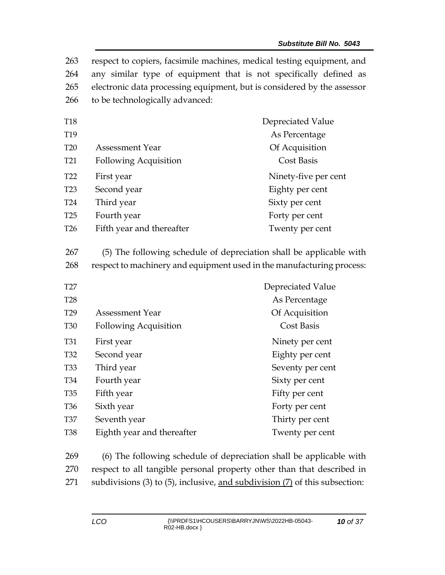| 263<br>264<br>265<br>266 | to be technologically advanced:                                                                                                              | respect to copiers, facsimile machines, medical testing equipment, and<br>any similar type of equipment that is not specifically defined as<br>electronic data processing equipment, but is considered by the assessor |
|--------------------------|----------------------------------------------------------------------------------------------------------------------------------------------|------------------------------------------------------------------------------------------------------------------------------------------------------------------------------------------------------------------------|
| <b>T18</b>               |                                                                                                                                              | Depreciated Value                                                                                                                                                                                                      |
| T19                      |                                                                                                                                              | As Percentage                                                                                                                                                                                                          |
| <b>T20</b>               | <b>Assessment Year</b>                                                                                                                       | Of Acquisition                                                                                                                                                                                                         |
| T <sub>21</sub>          | <b>Following Acquisition</b>                                                                                                                 | <b>Cost Basis</b>                                                                                                                                                                                                      |
| T <sub>22</sub>          | First year                                                                                                                                   | Ninety-five per cent                                                                                                                                                                                                   |
| T <sub>23</sub>          | Second year                                                                                                                                  | Eighty per cent                                                                                                                                                                                                        |
| <b>T24</b>               | Third year                                                                                                                                   | Sixty per cent                                                                                                                                                                                                         |
| T <sub>25</sub>          | Fourth year                                                                                                                                  | Forty per cent                                                                                                                                                                                                         |
| T <sub>26</sub>          | Fifth year and thereafter                                                                                                                    | Twenty per cent                                                                                                                                                                                                        |
| 267<br>268               | (5) The following schedule of depreciation shall be applicable with<br>respect to machinery and equipment used in the manufacturing process: |                                                                                                                                                                                                                        |
| T27                      |                                                                                                                                              | Depreciated Value                                                                                                                                                                                                      |
| <b>T28</b>               |                                                                                                                                              | As Percentage                                                                                                                                                                                                          |
| T <sub>29</sub>          | <b>Assessment Year</b>                                                                                                                       | Of Acquisition                                                                                                                                                                                                         |
| <b>T30</b>               | <b>Following Acquisition</b>                                                                                                                 | <b>Cost Basis</b>                                                                                                                                                                                                      |
| <b>T31</b>               | First year                                                                                                                                   | Ninety per cent                                                                                                                                                                                                        |
| T32                      | Second year                                                                                                                                  | Eighty per cent                                                                                                                                                                                                        |
| <b>T33</b>               | Third year                                                                                                                                   | Seventy per cent                                                                                                                                                                                                       |
| T34                      | Fourth year                                                                                                                                  | Sixty per cent                                                                                                                                                                                                         |
| <b>T35</b>               | Fifth year                                                                                                                                   | Fifty per cent                                                                                                                                                                                                         |
| T <sub>36</sub>          | Sixth year                                                                                                                                   | Forty per cent                                                                                                                                                                                                         |
| <b>T37</b>               | Seventh year                                                                                                                                 | Thirty per cent                                                                                                                                                                                                        |
| <b>T38</b>               | Eighth year and thereafter                                                                                                                   | Twenty per cent                                                                                                                                                                                                        |

269 (6) The following schedule of depreciation shall be applicable with 270 respect to all tangible personal property other than that described in 271 subdivisions (3) to (5), inclusive, and subdivision (7) of this subsection: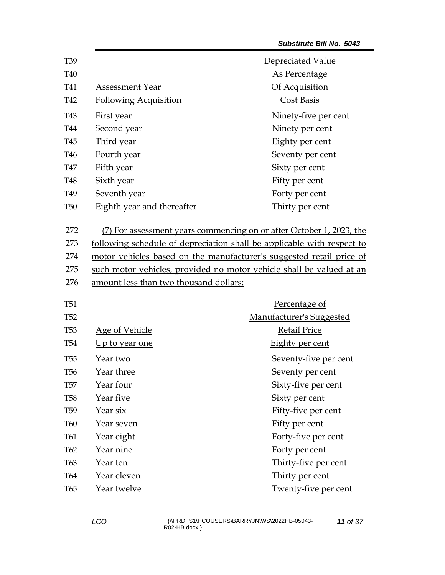| T39             |                                                                      | Depreciated Value                                                      |
|-----------------|----------------------------------------------------------------------|------------------------------------------------------------------------|
| T40             |                                                                      | As Percentage                                                          |
| T41             | <b>Assessment Year</b>                                               | Of Acquisition                                                         |
| T42             | <b>Following Acquisition</b>                                         | <b>Cost Basis</b>                                                      |
| T43             | First year                                                           | Ninety-five per cent                                                   |
| T44             | Second year                                                          | Ninety per cent                                                        |
| T45             | Third year                                                           | Eighty per cent                                                        |
| T46             | Fourth year                                                          | Seventy per cent                                                       |
| <b>T47</b>      | Fifth year                                                           | Sixty per cent                                                         |
| T48             | Sixth year                                                           | Fifty per cent                                                         |
| T49             | Seventh year                                                         | Forty per cent                                                         |
| <b>T50</b>      | Eighth year and thereafter                                           | Thirty per cent                                                        |
| 272             |                                                                      | (7) For assessment years commencing on or after October 1, 2023, the   |
| 273             |                                                                      | following schedule of depreciation shall be applicable with respect to |
| 274             |                                                                      | motor vehicles based on the manufacturer's suggested retail price of   |
| 275             | such motor vehicles, provided no motor vehicle shall be valued at an |                                                                        |
| 276             | amount less than two thousand dollars:                               |                                                                        |
| <b>T51</b>      |                                                                      | Percentage of                                                          |
| T <sub>52</sub> |                                                                      | <b>Manufacturer's Suggested</b>                                        |
| <b>T53</b>      | Age of Vehicle                                                       | <b>Retail Price</b>                                                    |
| T <sub>54</sub> | Up to year one                                                       | Eighty per cent                                                        |
| <b>T55</b>      | Year two                                                             | Seventy-five per cent                                                  |
| T <sub>56</sub> | <u>Year three</u>                                                    | Seventy per cent                                                       |
| <b>T57</b>      | Year four                                                            | <u>Sixty-five per cent</u>                                             |
| <b>T58</b>      | Year five                                                            | <b>Sixty per cent</b>                                                  |
| T <sub>59</sub> | <u>Year six</u>                                                      | Fifty-five per cent                                                    |
| <b>T60</b>      | Year seven                                                           | Fifty per cent                                                         |
| T61             | <u>Year eight</u>                                                    | Forty-five per cent                                                    |
| T62             | <u>Year nine</u>                                                     | Forty per cent                                                         |
| T63             | Year ten                                                             | Thirty-five per cent                                                   |
| T64             | Year eleven                                                          | Thirty per cent                                                        |
| T65             | Year twelve                                                          | Twenty-five per cent                                                   |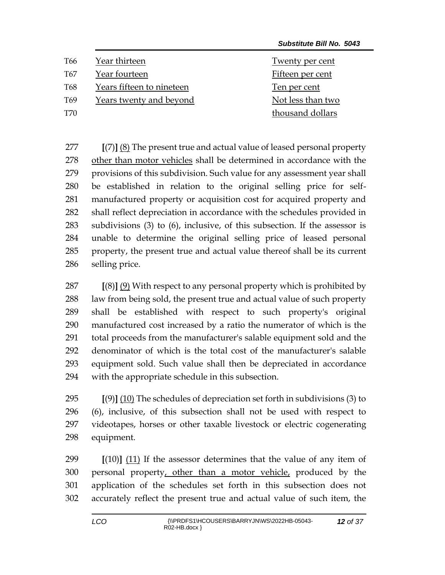| T66             | Year thirteen             | Twenty per cent   |
|-----------------|---------------------------|-------------------|
| T <sub>67</sub> | Year fourteen             | Fifteen per cent  |
| T68             | Years fifteen to nineteen | Ten per cent      |
| T <sub>69</sub> | Years twenty and beyond   | Not less than two |
| T70             |                           | thousand dollars  |

 **[**(7)**]** (8) The present true and actual value of leased personal property other than motor vehicles shall be determined in accordance with the provisions of this subdivision. Such value for any assessment year shall be established in relation to the original selling price for self- manufactured property or acquisition cost for acquired property and shall reflect depreciation in accordance with the schedules provided in subdivisions (3) to (6), inclusive, of this subsection. If the assessor is unable to determine the original selling price of leased personal property, the present true and actual value thereof shall be its current selling price.

 **[**(8)**]** (9) With respect to any personal property which is prohibited by law from being sold, the present true and actual value of such property shall be established with respect to such property's original manufactured cost increased by a ratio the numerator of which is the total proceeds from the manufacturer's salable equipment sold and the denominator of which is the total cost of the manufacturer's salable equipment sold. Such value shall then be depreciated in accordance with the appropriate schedule in this subsection.

 **[**(9)**]** (10) The schedules of depreciation set forth in subdivisions (3) to (6), inclusive, of this subsection shall not be used with respect to videotapes, horses or other taxable livestock or electric cogenerating equipment.

 **[**(10)**]** (11) If the assessor determines that the value of any item of 300 personal property, other than a motor vehicle, produced by the application of the schedules set forth in this subsection does not accurately reflect the present true and actual value of such item, the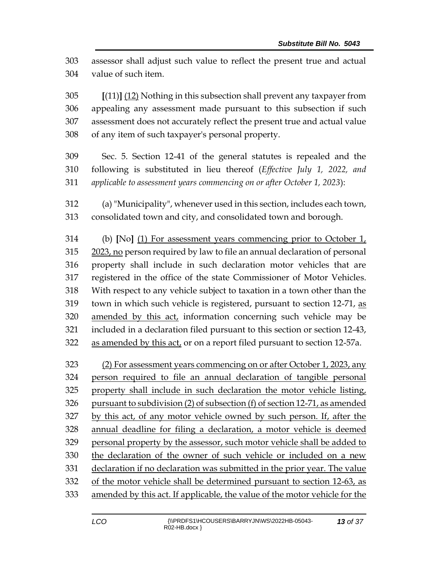assessor shall adjust such value to reflect the present true and actual value of such item.

 **[**(11)**]** (12) Nothing in this subsection shall prevent any taxpayer from appealing any assessment made pursuant to this subsection if such assessment does not accurately reflect the present true and actual value of any item of such taxpayer's personal property.

- Sec. 5. Section 12-41 of the general statutes is repealed and the following is substituted in lieu thereof (*Effective July 1, 2022, and applicable to assessment years commencing on or after October 1, 2023*):
- (a) "Municipality", whenever used in this section, includes each town, consolidated town and city, and consolidated town and borough.

 (b) **[**No**]** (1) For assessment years commencing prior to October 1, 2023, no person required by law to file an annual declaration of personal property shall include in such declaration motor vehicles that are registered in the office of the state Commissioner of Motor Vehicles. With respect to any vehicle subject to taxation in a town other than the town in which such vehicle is registered, pursuant to section 12-71, as amended by this act, information concerning such vehicle may be included in a declaration filed pursuant to this section or section 12-43, 322 as amended by this act, or on a report filed pursuant to section 12-57a.

 (2) For assessment years commencing on or after October 1, 2023, any person required to file an annual declaration of tangible personal property shall include in such declaration the motor vehicle listing, pursuant to subdivision (2) of subsection (f) of section 12-71, as amended by this act, of any motor vehicle owned by such person. If, after the annual deadline for filing a declaration, a motor vehicle is deemed personal property by the assessor, such motor vehicle shall be added to the declaration of the owner of such vehicle or included on a new declaration if no declaration was submitted in the prior year. The value of the motor vehicle shall be determined pursuant to section 12-63, as amended by this act. If applicable, the value of the motor vehicle for the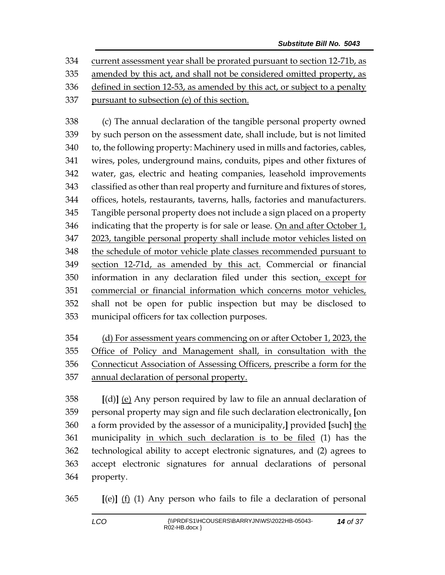current assessment year shall be prorated pursuant to section 12-71b, as amended by this act, and shall not be considered omitted property, as defined in section 12-53, as amended by this act, or subject to a penalty pursuant to subsection (e) of this section.

 (c) The annual declaration of the tangible personal property owned by such person on the assessment date, shall include, but is not limited to, the following property: Machinery used in mills and factories, cables, wires, poles, underground mains, conduits, pipes and other fixtures of water, gas, electric and heating companies, leasehold improvements classified as other than real property and furniture and fixtures of stores, offices, hotels, restaurants, taverns, halls, factories and manufacturers. Tangible personal property does not include a sign placed on a property 346 indicating that the property is for sale or lease. On and after October  $1<sub>t</sub>$  2023, tangible personal property shall include motor vehicles listed on the schedule of motor vehicle plate classes recommended pursuant to section 12-71d, as amended by this act. Commercial or financial information in any declaration filed under this section, except for commercial or financial information which concerns motor vehicles, shall not be open for public inspection but may be disclosed to municipal officers for tax collection purposes.

 (d) For assessment years commencing on or after October 1, 2023, the Office of Policy and Management shall, in consultation with the Connecticut Association of Assessing Officers, prescribe a form for the annual declaration of personal property.

 **[**(d)**]** (e) Any person required by law to file an annual declaration of personal property may sign and file such declaration electronically, **[**on a form provided by the assessor of a municipality,**]** provided **[**such**]** the municipality in which such declaration is to be filed (1) has the technological ability to accept electronic signatures, and (2) agrees to accept electronic signatures for annual declarations of personal property.

**[**(e)**]** (f) (1) Any person who fails to file a declaration of personal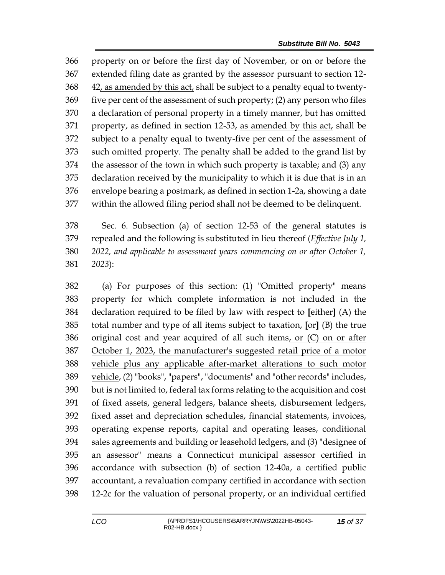property on or before the first day of November, or on or before the extended filing date as granted by the assessor pursuant to section 12- 42, as amended by this act, shall be subject to a penalty equal to twenty- five per cent of the assessment of such property; (2) any person who files a declaration of personal property in a timely manner, but has omitted 371 property, as defined in section 12-53, as amended by this act, shall be subject to a penalty equal to twenty-five per cent of the assessment of such omitted property. The penalty shall be added to the grand list by the assessor of the town in which such property is taxable; and (3) any declaration received by the municipality to which it is due that is in an envelope bearing a postmark, as defined in section 1-2a, showing a date within the allowed filing period shall not be deemed to be delinquent.

 Sec. 6. Subsection (a) of section 12-53 of the general statutes is repealed and the following is substituted in lieu thereof (*Effective July 1, 2022, and applicable to assessment years commencing on or after October 1, 2023*):

 (a) For purposes of this section: (1) "Omitted property" means property for which complete information is not included in the declaration required to be filed by law with respect to **[**either**]** (A) the total number and type of all items subject to taxation, **[**or**]** (B) the true original cost and year acquired of all such items, or (C) on or after October 1, 2023, the manufacturer's suggested retail price of a motor vehicle plus any applicable after-market alterations to such motor vehicle, (2) "books", "papers", "documents" and "other records" includes, but is not limited to, federal tax forms relating to the acquisition and cost of fixed assets, general ledgers, balance sheets, disbursement ledgers, fixed asset and depreciation schedules, financial statements, invoices, operating expense reports, capital and operating leases, conditional sales agreements and building or leasehold ledgers, and (3) "designee of an assessor" means a Connecticut municipal assessor certified in accordance with subsection (b) of section 12-40a, a certified public accountant, a revaluation company certified in accordance with section 12-2c for the valuation of personal property, or an individual certified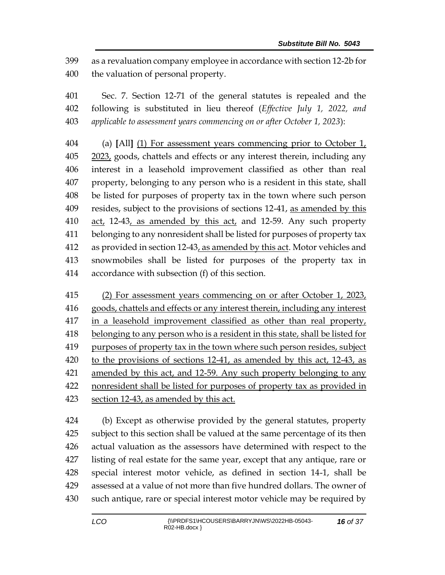as a revaluation company employee in accordance with section 12-2b for the valuation of personal property.

 Sec. 7. Section 12-71 of the general statutes is repealed and the following is substituted in lieu thereof (*Effective July 1, 2022, and applicable to assessment years commencing on or after October 1, 2023*):

 (a) **[**All**]** (1) For assessment years commencing prior to October 1, 2023, goods, chattels and effects or any interest therein, including any interest in a leasehold improvement classified as other than real property, belonging to any person who is a resident in this state, shall be listed for purposes of property tax in the town where such person resides, subject to the provisions of sections 12-41, as amended by this act, 12-43, as amended by this act, and 12-59. Any such property belonging to any nonresident shall be listed for purposes of property tax 412 as provided in section 12-43, as amended by this act. Motor vehicles and snowmobiles shall be listed for purposes of the property tax in accordance with subsection (f) of this section.

 (2) For assessment years commencing on or after October 1, 2023, goods, chattels and effects or any interest therein, including any interest in a leasehold improvement classified as other than real property, belonging to any person who is a resident in this state, shall be listed for 419 purposes of property tax in the town where such person resides, subject to the provisions of sections 12-41, as amended by this act, 12-43, as amended by this act, and 12-59. Any such property belonging to any nonresident shall be listed for purposes of property tax as provided in section 12-43, as amended by this act.

 (b) Except as otherwise provided by the general statutes, property subject to this section shall be valued at the same percentage of its then actual valuation as the assessors have determined with respect to the listing of real estate for the same year, except that any antique, rare or special interest motor vehicle, as defined in section 14-1, shall be assessed at a value of not more than five hundred dollars. The owner of such antique, rare or special interest motor vehicle may be required by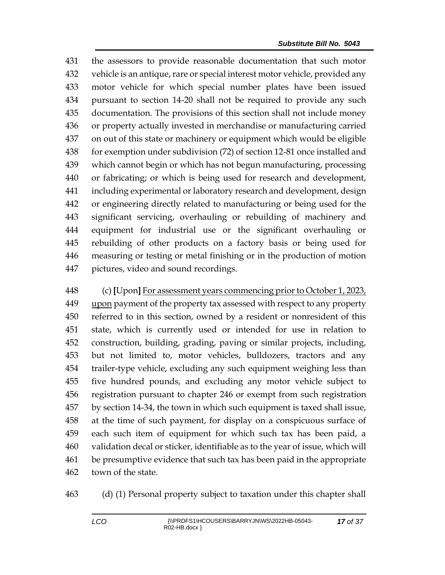the assessors to provide reasonable documentation that such motor vehicle is an antique, rare or special interest motor vehicle, provided any motor vehicle for which special number plates have been issued pursuant to section 14-20 shall not be required to provide any such documentation. The provisions of this section shall not include money or property actually invested in merchandise or manufacturing carried on out of this state or machinery or equipment which would be eligible for exemption under subdivision (72) of section 12-81 once installed and which cannot begin or which has not begun manufacturing, processing or fabricating; or which is being used for research and development, including experimental or laboratory research and development, design or engineering directly related to manufacturing or being used for the significant servicing, overhauling or rebuilding of machinery and equipment for industrial use or the significant overhauling or rebuilding of other products on a factory basis or being used for measuring or testing or metal finishing or in the production of motion pictures, video and sound recordings.

 (c) **[**Upon**]** For assessment years commencing prior to October 1, 2023, upon payment of the property tax assessed with respect to any property referred to in this section, owned by a resident or nonresident of this state, which is currently used or intended for use in relation to construction, building, grading, paving or similar projects, including, but not limited to, motor vehicles, bulldozers, tractors and any trailer-type vehicle, excluding any such equipment weighing less than five hundred pounds, and excluding any motor vehicle subject to registration pursuant to chapter 246 or exempt from such registration by section 14-34, the town in which such equipment is taxed shall issue, at the time of such payment, for display on a conspicuous surface of each such item of equipment for which such tax has been paid, a validation decal or sticker, identifiable as to the year of issue, which will be presumptive evidence that such tax has been paid in the appropriate town of the state.

(d) (1) Personal property subject to taxation under this chapter shall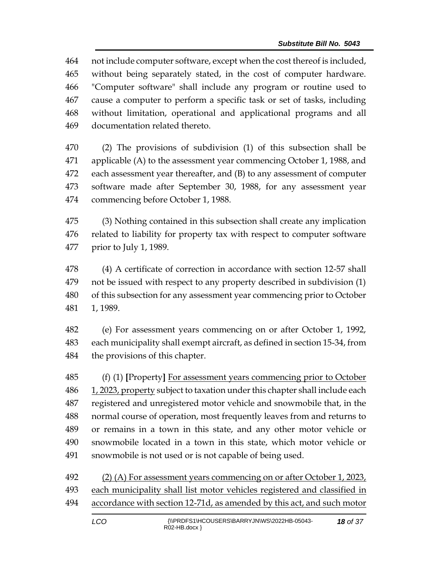not include computer software, except when the cost thereof is included, without being separately stated, in the cost of computer hardware. "Computer software" shall include any program or routine used to cause a computer to perform a specific task or set of tasks, including without limitation, operational and applicational programs and all documentation related thereto.

 (2) The provisions of subdivision (1) of this subsection shall be applicable (A) to the assessment year commencing October 1, 1988, and each assessment year thereafter, and (B) to any assessment of computer software made after September 30, 1988, for any assessment year commencing before October 1, 1988.

 (3) Nothing contained in this subsection shall create any implication related to liability for property tax with respect to computer software prior to July 1, 1989.

 (4) A certificate of correction in accordance with section 12-57 shall not be issued with respect to any property described in subdivision (1) of this subsection for any assessment year commencing prior to October 1, 1989.

 (e) For assessment years commencing on or after October 1, 1992, each municipality shall exempt aircraft, as defined in section 15-34, from the provisions of this chapter.

 (f) (1) **[**Property**]** For assessment years commencing prior to October 486 1, 2023, property subject to taxation under this chapter shall include each registered and unregistered motor vehicle and snowmobile that, in the normal course of operation, most frequently leaves from and returns to or remains in a town in this state, and any other motor vehicle or snowmobile located in a town in this state, which motor vehicle or snowmobile is not used or is not capable of being used.

 (2) (A) For assessment years commencing on or after October 1, 2023, each municipality shall list motor vehicles registered and classified in accordance with section 12-71d, as amended by this act, and such motor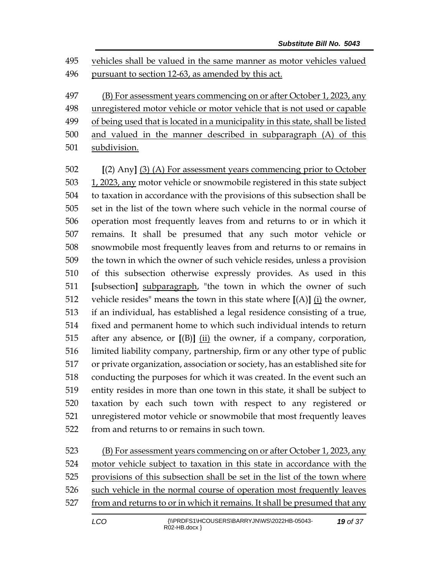vehicles shall be valued in the same manner as motor vehicles valued pursuant to section 12-63, as amended by this act.

 (B) For assessment years commencing on or after October 1, 2023, any unregistered motor vehicle or motor vehicle that is not used or capable 499 of being used that is located in a municipality in this state, shall be listed

- and valued in the manner described in subparagraph (A) of this
- subdivision.

 **[**(2) Any**]** (3) (A) For assessment years commencing prior to October 1, 2023, any motor vehicle or snowmobile registered in this state subject to taxation in accordance with the provisions of this subsection shall be set in the list of the town where such vehicle in the normal course of operation most frequently leaves from and returns to or in which it remains. It shall be presumed that any such motor vehicle or snowmobile most frequently leaves from and returns to or remains in the town in which the owner of such vehicle resides, unless a provision of this subsection otherwise expressly provides. As used in this **[**subsection**]** subparagraph, "the town in which the owner of such vehicle resides" means the town in this state where **[**(A)**]** (i) the owner, if an individual, has established a legal residence consisting of a true, fixed and permanent home to which such individual intends to return after any absence, or **[**(B)**]** (ii) the owner, if a company, corporation, limited liability company, partnership, firm or any other type of public or private organization, association or society, has an established site for conducting the purposes for which it was created. In the event such an entity resides in more than one town in this state, it shall be subject to taxation by each such town with respect to any registered or unregistered motor vehicle or snowmobile that most frequently leaves from and returns to or remains in such town.

523 (B) For assessment years commencing on or after October 1, 2023, any motor vehicle subject to taxation in this state in accordance with the provisions of this subsection shall be set in the list of the town where such vehicle in the normal course of operation most frequently leaves from and returns to or in which it remains. It shall be presumed that any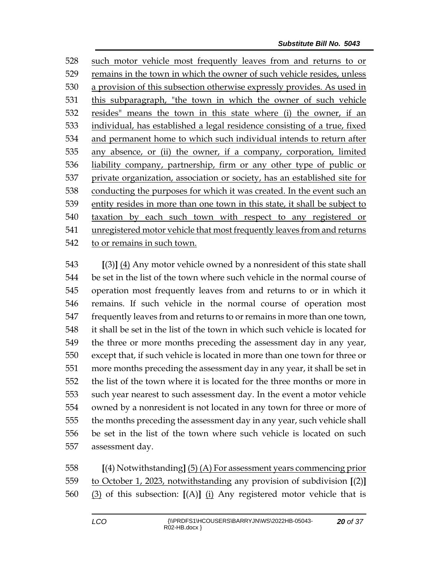such motor vehicle most frequently leaves from and returns to or 529 remains in the town in which the owner of such vehicle resides, unless a provision of this subsection otherwise expressly provides. As used in this subparagraph, "the town in which the owner of such vehicle resides" means the town in this state where (i) the owner, if an individual, has established a legal residence consisting of a true, fixed and permanent home to which such individual intends to return after any absence, or (ii) the owner, if a company, corporation, limited liability company, partnership, firm or any other type of public or private organization, association or society, has an established site for conducting the purposes for which it was created. In the event such an entity resides in more than one town in this state, it shall be subject to taxation by each such town with respect to any registered or unregistered motor vehicle that most frequently leaves from and returns to or remains in such town.

 **[**(3)**]** (4) Any motor vehicle owned by a nonresident of this state shall be set in the list of the town where such vehicle in the normal course of operation most frequently leaves from and returns to or in which it remains. If such vehicle in the normal course of operation most frequently leaves from and returns to or remains in more than one town, it shall be set in the list of the town in which such vehicle is located for the three or more months preceding the assessment day in any year, except that, if such vehicle is located in more than one town for three or more months preceding the assessment day in any year, it shall be set in the list of the town where it is located for the three months or more in such year nearest to such assessment day. In the event a motor vehicle owned by a nonresident is not located in any town for three or more of the months preceding the assessment day in any year, such vehicle shall be set in the list of the town where such vehicle is located on such assessment day.

 **[**(4) Notwithstanding**]** (5) (A) For assessment years commencing prior to October 1, 2023, notwithstanding any provision of subdivision **[**(2)**]** (3) of this subsection: **[**(A)**]** (i) Any registered motor vehicle that is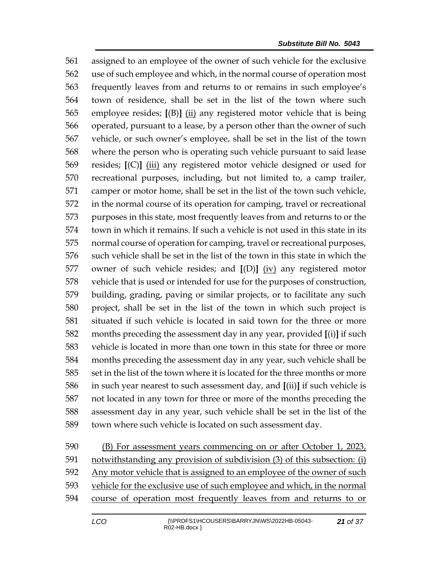assigned to an employee of the owner of such vehicle for the exclusive use of such employee and which, in the normal course of operation most frequently leaves from and returns to or remains in such employee's town of residence, shall be set in the list of the town where such employee resides; **[**(B)**]** (ii) any registered motor vehicle that is being operated, pursuant to a lease, by a person other than the owner of such vehicle, or such owner's employee, shall be set in the list of the town where the person who is operating such vehicle pursuant to said lease resides; **[**(C)**]** (iii) any registered motor vehicle designed or used for recreational purposes, including, but not limited to, a camp trailer, camper or motor home, shall be set in the list of the town such vehicle, in the normal course of its operation for camping, travel or recreational purposes in this state, most frequently leaves from and returns to or the town in which it remains. If such a vehicle is not used in this state in its normal course of operation for camping, travel or recreational purposes, such vehicle shall be set in the list of the town in this state in which the owner of such vehicle resides; and **[**(D)**]** (iv) any registered motor vehicle that is used or intended for use for the purposes of construction, building, grading, paving or similar projects, or to facilitate any such project, shall be set in the list of the town in which such project is situated if such vehicle is located in said town for the three or more months preceding the assessment day in any year, provided **[**(i)**]** if such vehicle is located in more than one town in this state for three or more months preceding the assessment day in any year, such vehicle shall be set in the list of the town where it is located for the three months or more in such year nearest to such assessment day, and **[**(ii)**]** if such vehicle is not located in any town for three or more of the months preceding the assessment day in any year, such vehicle shall be set in the list of the town where such vehicle is located on such assessment day.

590 (B) For assessment years commencing on or after October 1, 2023, notwithstanding any provision of subdivision (3) of this subsection: (i) Any motor vehicle that is assigned to an employee of the owner of such vehicle for the exclusive use of such employee and which, in the normal course of operation most frequently leaves from and returns to or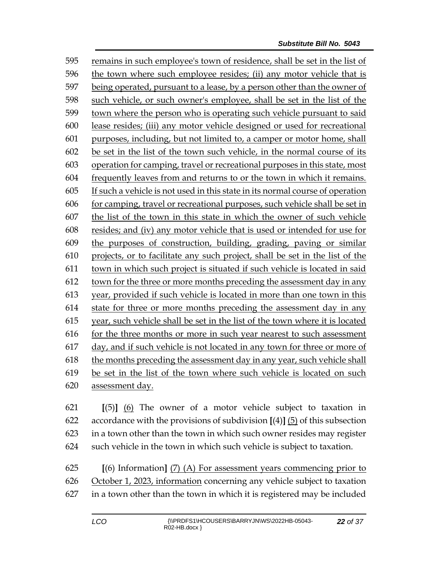remains in such employee's town of residence, shall be set in the list of the town where such employee resides; (ii) any motor vehicle that is being operated, pursuant to a lease, by a person other than the owner of such vehicle, or such owner's employee, shall be set in the list of the town where the person who is operating such vehicle pursuant to said lease resides; (iii) any motor vehicle designed or used for recreational purposes, including, but not limited to, a camper or motor home, shall be set in the list of the town such vehicle, in the normal course of its operation for camping, travel or recreational purposes in this state, most frequently leaves from and returns to or the town in which it remains. If such a vehicle is not used in this state in its normal course of operation for camping, travel or recreational purposes, such vehicle shall be set in the list of the town in this state in which the owner of such vehicle resides; and (iv) any motor vehicle that is used or intended for use for the purposes of construction, building, grading, paving or similar projects, or to facilitate any such project, shall be set in the list of the town in which such project is situated if such vehicle is located in said 612 town for the three or more months preceding the assessment day in any year, provided if such vehicle is located in more than one town in this state for three or more months preceding the assessment day in any year, such vehicle shall be set in the list of the town where it is located for the three months or more in such year nearest to such assessment day, and if such vehicle is not located in any town for three or more of the months preceding the assessment day in any year, such vehicle shall be set in the list of the town where such vehicle is located on such assessment day.

 **[**(5)**]** (6) The owner of a motor vehicle subject to taxation in accordance with the provisions of subdivision **[**(4)**]** (5) of this subsection in a town other than the town in which such owner resides may register such vehicle in the town in which such vehicle is subject to taxation.

 **[**(6) Information**]** (7) (A) For assessment years commencing prior to October 1, 2023, information concerning any vehicle subject to taxation in a town other than the town in which it is registered may be included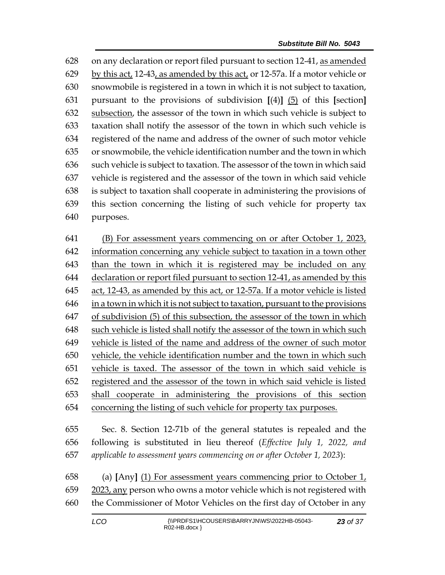on any declaration or report filed pursuant to section 12-41, as amended by this act, 12-43, as amended by this act, or 12-57a. If a motor vehicle or snowmobile is registered in a town in which it is not subject to taxation, pursuant to the provisions of subdivision **[**(4)**]** (5) of this **[**section**]** subsection, the assessor of the town in which such vehicle is subject to taxation shall notify the assessor of the town in which such vehicle is registered of the name and address of the owner of such motor vehicle or snowmobile, the vehicle identification number and the town in which such vehicle is subject to taxation. The assessor of the town in which said vehicle is registered and the assessor of the town in which said vehicle is subject to taxation shall cooperate in administering the provisions of this section concerning the listing of such vehicle for property tax purposes.

 (B) For assessment years commencing on or after October 1, 2023, information concerning any vehicle subject to taxation in a town other than the town in which it is registered may be included on any declaration or report filed pursuant to section 12-41, as amended by this act, 12-43, as amended by this act, or 12-57a. If a motor vehicle is listed in a town in which it is not subject to taxation, pursuant to the provisions of subdivision (5) of this subsection, the assessor of the town in which such vehicle is listed shall notify the assessor of the town in which such vehicle is listed of the name and address of the owner of such motor vehicle, the vehicle identification number and the town in which such vehicle is taxed. The assessor of the town in which said vehicle is registered and the assessor of the town in which said vehicle is listed shall cooperate in administering the provisions of this section concerning the listing of such vehicle for property tax purposes.

 Sec. 8. Section 12-71b of the general statutes is repealed and the following is substituted in lieu thereof (*Effective July 1, 2022, and applicable to assessment years commencing on or after October 1, 2023*):

 (a) **[**Any**]** (1) For assessment years commencing prior to October 1, 2023, any person who owns a motor vehicle which is not registered with the Commissioner of Motor Vehicles on the first day of October in any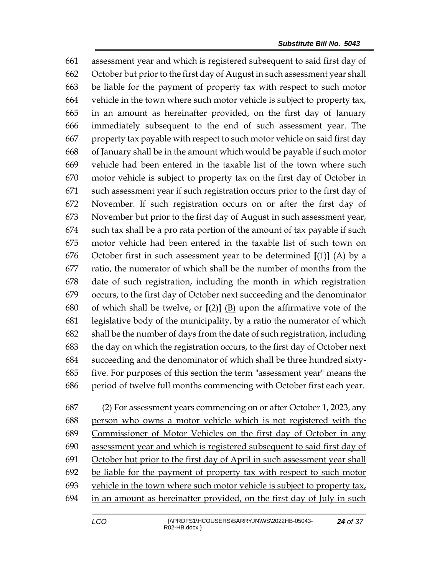assessment year and which is registered subsequent to said first day of October but prior to the first day of August in such assessment year shall be liable for the payment of property tax with respect to such motor vehicle in the town where such motor vehicle is subject to property tax, in an amount as hereinafter provided, on the first day of January immediately subsequent to the end of such assessment year. The property tax payable with respect to such motor vehicle on said first day of January shall be in the amount which would be payable if such motor vehicle had been entered in the taxable list of the town where such motor vehicle is subject to property tax on the first day of October in such assessment year if such registration occurs prior to the first day of November. If such registration occurs on or after the first day of November but prior to the first day of August in such assessment year, such tax shall be a pro rata portion of the amount of tax payable if such motor vehicle had been entered in the taxable list of such town on October first in such assessment year to be determined **[**(1)**]** (A) by a ratio, the numerator of which shall be the number of months from the date of such registration, including the month in which registration occurs, to the first day of October next succeeding and the denominator of which shall be twelve, or **[**(2)**]** (B) upon the affirmative vote of the legislative body of the municipality, by a ratio the numerator of which shall be the number of days from the date of such registration, including the day on which the registration occurs, to the first day of October next succeeding and the denominator of which shall be three hundred sixty- five. For purposes of this section the term "assessment year" means the period of twelve full months commencing with October first each year.

(2) For assessment years commencing on or after October 1, 2023, any

 person who owns a motor vehicle which is not registered with the Commissioner of Motor Vehicles on the first day of October in any assessment year and which is registered subsequent to said first day of October but prior to the first day of April in such assessment year shall be liable for the payment of property tax with respect to such motor vehicle in the town where such motor vehicle is subject to property tax, in an amount as hereinafter provided, on the first day of July in such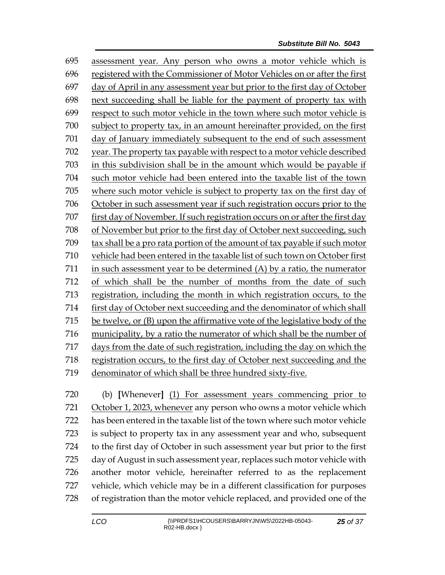assessment year. Any person who owns a motor vehicle which is registered with the Commissioner of Motor Vehicles on or after the first day of April in any assessment year but prior to the first day of October next succeeding shall be liable for the payment of property tax with respect to such motor vehicle in the town where such motor vehicle is subject to property tax, in an amount hereinafter provided, on the first day of January immediately subsequent to the end of such assessment year. The property tax payable with respect to a motor vehicle described in this subdivision shall be in the amount which would be payable if such motor vehicle had been entered into the taxable list of the town where such motor vehicle is subject to property tax on the first day of October in such assessment year if such registration occurs prior to the first day of November. If such registration occurs on or after the first day of November but prior to the first day of October next succeeding, such tax shall be a pro rata portion of the amount of tax payable if such motor vehicle had been entered in the taxable list of such town on October first in such assessment year to be determined (A) by a ratio, the numerator of which shall be the number of months from the date of such registration, including the month in which registration occurs, to the first day of October next succeeding and the denominator of which shall be twelve, or (B) upon the affirmative vote of the legislative body of the municipality, by a ratio the numerator of which shall be the number of days from the date of such registration, including the day on which the registration occurs, to the first day of October next succeeding and the denominator of which shall be three hundred sixty-five.

 (b) **[**Whenever**]** (1) For assessment years commencing prior to October 1, 2023, whenever any person who owns a motor vehicle which has been entered in the taxable list of the town where such motor vehicle is subject to property tax in any assessment year and who, subsequent to the first day of October in such assessment year but prior to the first day of August in such assessment year, replaces such motor vehicle with another motor vehicle, hereinafter referred to as the replacement vehicle, which vehicle may be in a different classification for purposes of registration than the motor vehicle replaced, and provided one of the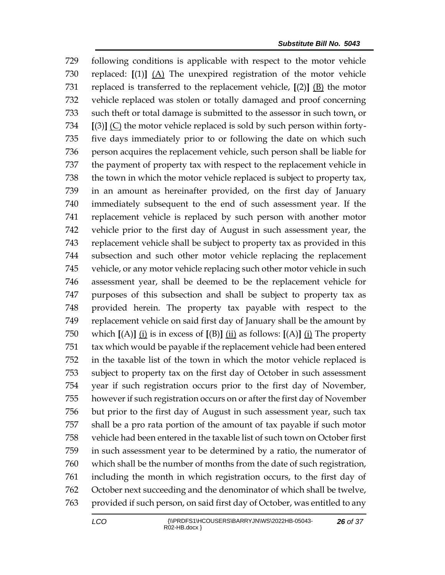following conditions is applicable with respect to the motor vehicle replaced: **[**(1)**]** (A) The unexpired registration of the motor vehicle replaced is transferred to the replacement vehicle, **[**(2)**]** (B) the motor vehicle replaced was stolen or totally damaged and proof concerning 733 such theft or total damage is submitted to the assessor in such town, or **[**(3)**]** (C) the motor vehicle replaced is sold by such person within forty- five days immediately prior to or following the date on which such person acquires the replacement vehicle, such person shall be liable for the payment of property tax with respect to the replacement vehicle in the town in which the motor vehicle replaced is subject to property tax, in an amount as hereinafter provided, on the first day of January immediately subsequent to the end of such assessment year. If the replacement vehicle is replaced by such person with another motor vehicle prior to the first day of August in such assessment year, the replacement vehicle shall be subject to property tax as provided in this subsection and such other motor vehicle replacing the replacement vehicle, or any motor vehicle replacing such other motor vehicle in such assessment year, shall be deemed to be the replacement vehicle for purposes of this subsection and shall be subject to property tax as provided herein. The property tax payable with respect to the replacement vehicle on said first day of January shall be the amount by which **[**(A)**]** (i) is in excess of **[**(B)**]** (ii) as follows: **[**(A)**]** (i) The property tax which would be payable if the replacement vehicle had been entered in the taxable list of the town in which the motor vehicle replaced is subject to property tax on the first day of October in such assessment year if such registration occurs prior to the first day of November, however if such registration occurs on or after the first day of November but prior to the first day of August in such assessment year, such tax shall be a pro rata portion of the amount of tax payable if such motor vehicle had been entered in the taxable list of such town on October first in such assessment year to be determined by a ratio, the numerator of which shall be the number of months from the date of such registration, including the month in which registration occurs, to the first day of October next succeeding and the denominator of which shall be twelve, provided if such person, on said first day of October, was entitled to any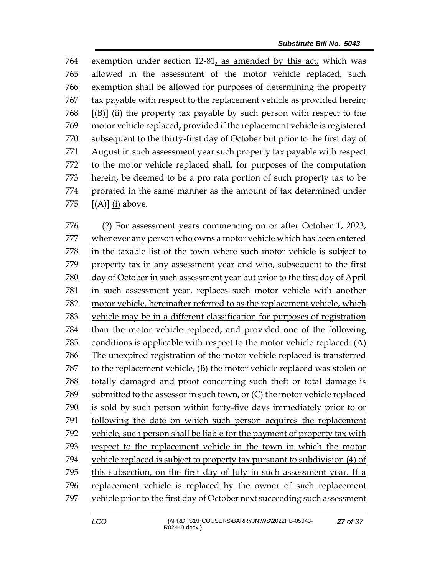exemption under section 12-81, as amended by this act, which was allowed in the assessment of the motor vehicle replaced, such exemption shall be allowed for purposes of determining the property tax payable with respect to the replacement vehicle as provided herein; **[**(B)**]** (ii) the property tax payable by such person with respect to the motor vehicle replaced, provided if the replacement vehicle is registered subsequent to the thirty-first day of October but prior to the first day of August in such assessment year such property tax payable with respect to the motor vehicle replaced shall, for purposes of the computation herein, be deemed to be a pro rata portion of such property tax to be prorated in the same manner as the amount of tax determined under **[**(A)**]** (i) above.

 (2) For assessment years commencing on or after October 1, 2023, whenever any person who owns a motor vehicle which has been entered in the taxable list of the town where such motor vehicle is subject to property tax in any assessment year and who, subsequent to the first day of October in such assessment year but prior to the first day of April in such assessment year, replaces such motor vehicle with another motor vehicle, hereinafter referred to as the replacement vehicle, which vehicle may be in a different classification for purposes of registration than the motor vehicle replaced, and provided one of the following conditions is applicable with respect to the motor vehicle replaced: (A) The unexpired registration of the motor vehicle replaced is transferred to the replacement vehicle, (B) the motor vehicle replaced was stolen or totally damaged and proof concerning such theft or total damage is submitted to the assessor in such town, or (C) the motor vehicle replaced is sold by such person within forty-five days immediately prior to or following the date on which such person acquires the replacement vehicle, such person shall be liable for the payment of property tax with respect to the replacement vehicle in the town in which the motor vehicle replaced is subject to property tax pursuant to subdivision (4) of this subsection, on the first day of July in such assessment year. If a replacement vehicle is replaced by the owner of such replacement vehicle prior to the first day of October next succeeding such assessment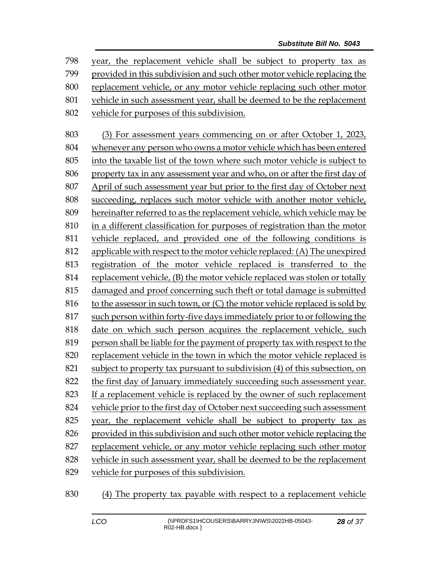year, the replacement vehicle shall be subject to property tax as provided in this subdivision and such other motor vehicle replacing the replacement vehicle, or any motor vehicle replacing such other motor vehicle in such assessment year, shall be deemed to be the replacement vehicle for purposes of this subdivision.

 (3) For assessment years commencing on or after October 1, 2023, whenever any person who owns a motor vehicle which has been entered into the taxable list of the town where such motor vehicle is subject to property tax in any assessment year and who, on or after the first day of April of such assessment year but prior to the first day of October next succeeding, replaces such motor vehicle with another motor vehicle, hereinafter referred to as the replacement vehicle, which vehicle may be in a different classification for purposes of registration than the motor vehicle replaced, and provided one of the following conditions is applicable with respect to the motor vehicle replaced: (A) The unexpired registration of the motor vehicle replaced is transferred to the replacement vehicle, (B) the motor vehicle replaced was stolen or totally damaged and proof concerning such theft or total damage is submitted 816 to the assessor in such town, or  $(C)$  the motor vehicle replaced is sold by such person within forty-five days immediately prior to or following the date on which such person acquires the replacement vehicle, such person shall be liable for the payment of property tax with respect to the replacement vehicle in the town in which the motor vehicle replaced is subject to property tax pursuant to subdivision (4) of this subsection, on the first day of January immediately succeeding such assessment year. If a replacement vehicle is replaced by the owner of such replacement vehicle prior to the first day of October next succeeding such assessment year, the replacement vehicle shall be subject to property tax as provided in this subdivision and such other motor vehicle replacing the replacement vehicle, or any motor vehicle replacing such other motor vehicle in such assessment year, shall be deemed to be the replacement vehicle for purposes of this subdivision.

(4) The property tax payable with respect to a replacement vehicle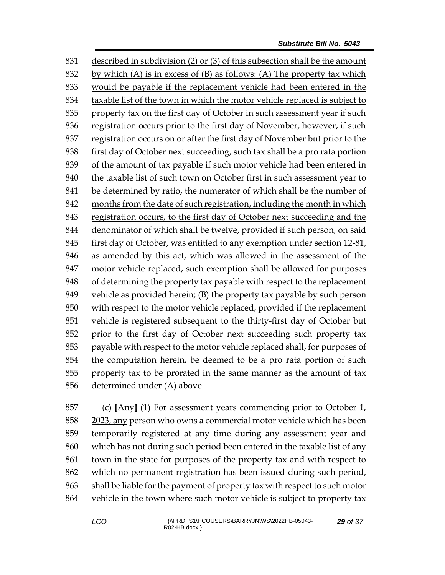described in subdivision (2) or (3) of this subsection shall be the amount 832 by which (A) is in excess of  $(B)$  as follows: (A) The property tax which would be payable if the replacement vehicle had been entered in the taxable list of the town in which the motor vehicle replaced is subject to property tax on the first day of October in such assessment year if such registration occurs prior to the first day of November, however, if such registration occurs on or after the first day of November but prior to the first day of October next succeeding, such tax shall be a pro rata portion of the amount of tax payable if such motor vehicle had been entered in 840 the taxable list of such town on October first in such assessment year to be determined by ratio, the numerator of which shall be the number of months from the date of such registration, including the month in which registration occurs, to the first day of October next succeeding and the denominator of which shall be twelve, provided if such person, on said first day of October, was entitled to any exemption under section 12-81, as amended by this act, which was allowed in the assessment of the motor vehicle replaced, such exemption shall be allowed for purposes of determining the property tax payable with respect to the replacement vehicle as provided herein; (B) the property tax payable by such person with respect to the motor vehicle replaced, provided if the replacement vehicle is registered subsequent to the thirty-first day of October but prior to the first day of October next succeeding such property tax payable with respect to the motor vehicle replaced shall, for purposes of the computation herein, be deemed to be a pro rata portion of such property tax to be prorated in the same manner as the amount of tax determined under (A) above.

 (c) **[**Any**]** (1) For assessment years commencing prior to October 1, 2023, any person who owns a commercial motor vehicle which has been temporarily registered at any time during any assessment year and which has not during such period been entered in the taxable list of any town in the state for purposes of the property tax and with respect to which no permanent registration has been issued during such period, shall be liable for the payment of property tax with respect to such motor vehicle in the town where such motor vehicle is subject to property tax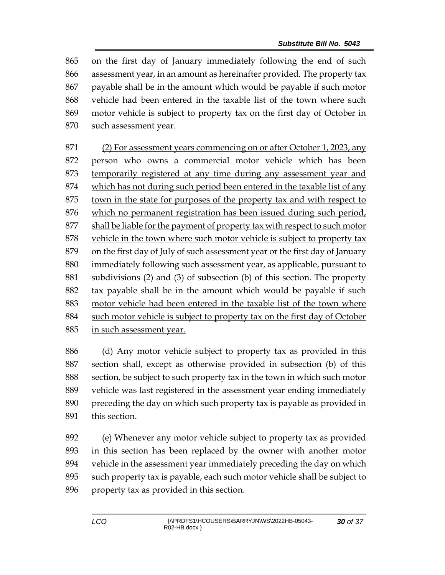on the first day of January immediately following the end of such assessment year, in an amount as hereinafter provided. The property tax payable shall be in the amount which would be payable if such motor vehicle had been entered in the taxable list of the town where such motor vehicle is subject to property tax on the first day of October in such assessment year.

 (2) For assessment years commencing on or after October 1, 2023, any 872 person who owns a commercial motor vehicle which has been temporarily registered at any time during any assessment year and which has not during such period been entered in the taxable list of any town in the state for purposes of the property tax and with respect to which no permanent registration has been issued during such period, shall be liable for the payment of property tax with respect to such motor vehicle in the town where such motor vehicle is subject to property tax on the first day of July of such assessment year or the first day of January immediately following such assessment year, as applicable, pursuant to subdivisions (2) and (3) of subsection (b) of this section. The property tax payable shall be in the amount which would be payable if such motor vehicle had been entered in the taxable list of the town where 884 such motor vehicle is subject to property tax on the first day of October in such assessment year.

 (d) Any motor vehicle subject to property tax as provided in this section shall, except as otherwise provided in subsection (b) of this section, be subject to such property tax in the town in which such motor vehicle was last registered in the assessment year ending immediately preceding the day on which such property tax is payable as provided in this section.

 (e) Whenever any motor vehicle subject to property tax as provided in this section has been replaced by the owner with another motor vehicle in the assessment year immediately preceding the day on which such property tax is payable, each such motor vehicle shall be subject to property tax as provided in this section.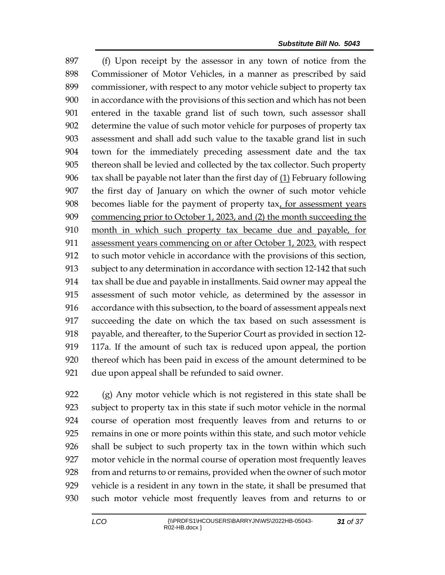(f) Upon receipt by the assessor in any town of notice from the Commissioner of Motor Vehicles, in a manner as prescribed by said commissioner, with respect to any motor vehicle subject to property tax in accordance with the provisions of this section and which has not been entered in the taxable grand list of such town, such assessor shall determine the value of such motor vehicle for purposes of property tax assessment and shall add such value to the taxable grand list in such town for the immediately preceding assessment date and the tax thereon shall be levied and collected by the tax collector. Such property  $\frac{1}{2}$  tax shall be payable not later than the first day of  $\left( \frac{1}{2} \right)$  February following the first day of January on which the owner of such motor vehicle becomes liable for the payment of property tax, for assessment years commencing prior to October 1, 2023, and (2) the month succeeding the month in which such property tax became due and payable, for 911 assessment years commencing on or after October 1, 2023, with respect to such motor vehicle in accordance with the provisions of this section, subject to any determination in accordance with section 12-142 that such tax shall be due and payable in installments. Said owner may appeal the assessment of such motor vehicle, as determined by the assessor in accordance with this subsection, to the board of assessment appeals next succeeding the date on which the tax based on such assessment is 918 payable, and thereafter, to the Superior Court as provided in section 12- 117a. If the amount of such tax is reduced upon appeal, the portion thereof which has been paid in excess of the amount determined to be due upon appeal shall be refunded to said owner.

 (g) Any motor vehicle which is not registered in this state shall be subject to property tax in this state if such motor vehicle in the normal course of operation most frequently leaves from and returns to or remains in one or more points within this state, and such motor vehicle shall be subject to such property tax in the town within which such motor vehicle in the normal course of operation most frequently leaves from and returns to or remains, provided when the owner of such motor vehicle is a resident in any town in the state, it shall be presumed that such motor vehicle most frequently leaves from and returns to or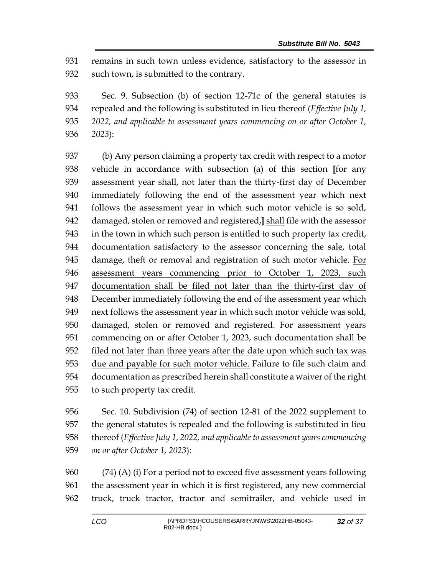remains in such town unless evidence, satisfactory to the assessor in such town, is submitted to the contrary.

 Sec. 9. Subsection (b) of section 12-71c of the general statutes is repealed and the following is substituted in lieu thereof (*Effective July 1, 2022, and applicable to assessment years commencing on or after October 1, 2023*):

 (b) Any person claiming a property tax credit with respect to a motor vehicle in accordance with subsection (a) of this section **[**for any assessment year shall, not later than the thirty-first day of December immediately following the end of the assessment year which next follows the assessment year in which such motor vehicle is so sold, damaged, stolen or removed and registered,**]** shall file with the assessor in the town in which such person is entitled to such property tax credit, documentation satisfactory to the assessor concerning the sale, total damage, theft or removal and registration of such motor vehicle. For assessment years commencing prior to October 1, 2023, such 947 documentation shall be filed not later than the thirty-first day of 948 December immediately following the end of the assessment year which next follows the assessment year in which such motor vehicle was sold, damaged, stolen or removed and registered. For assessment years commencing on or after October 1, 2023, such documentation shall be filed not later than three years after the date upon which such tax was due and payable for such motor vehicle. Failure to file such claim and documentation as prescribed herein shall constitute a waiver of the right to such property tax credit.

 Sec. 10. Subdivision (74) of section 12-81 of the 2022 supplement to the general statutes is repealed and the following is substituted in lieu thereof (*Effective July 1, 2022, and applicable to assessment years commencing on or after October 1, 2023*):

 (74) (A) (i) For a period not to exceed five assessment years following the assessment year in which it is first registered, any new commercial truck, truck tractor, tractor and semitrailer, and vehicle used in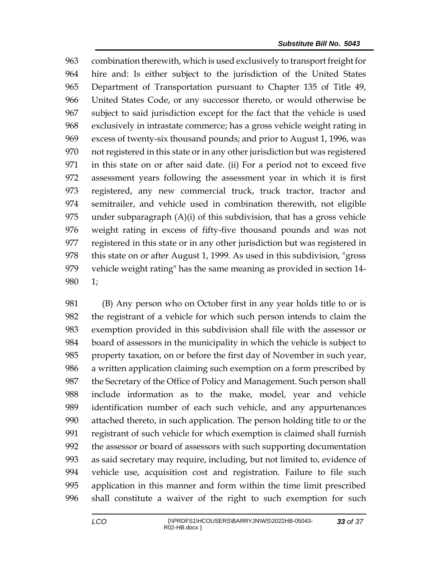combination therewith, which is used exclusively to transport freight for hire and: Is either subject to the jurisdiction of the United States Department of Transportation pursuant to Chapter 135 of Title 49, United States Code, or any successor thereto, or would otherwise be subject to said jurisdiction except for the fact that the vehicle is used exclusively in intrastate commerce; has a gross vehicle weight rating in excess of twenty-six thousand pounds; and prior to August 1, 1996, was not registered in this state or in any other jurisdiction but was registered in this state on or after said date. (ii) For a period not to exceed five assessment years following the assessment year in which it is first registered, any new commercial truck, truck tractor, tractor and semitrailer, and vehicle used in combination therewith, not eligible under subparagraph (A)(i) of this subdivision, that has a gross vehicle weight rating in excess of fifty-five thousand pounds and was not registered in this state or in any other jurisdiction but was registered in 978 this state on or after August 1, 1999. As used in this subdivision, "gross" vehicle weight rating" has the same meaning as provided in section 14- 1;

 (B) Any person who on October first in any year holds title to or is the registrant of a vehicle for which such person intends to claim the exemption provided in this subdivision shall file with the assessor or board of assessors in the municipality in which the vehicle is subject to property taxation, on or before the first day of November in such year, a written application claiming such exemption on a form prescribed by the Secretary of the Office of Policy and Management. Such person shall include information as to the make, model, year and vehicle identification number of each such vehicle, and any appurtenances attached thereto, in such application. The person holding title to or the registrant of such vehicle for which exemption is claimed shall furnish the assessor or board of assessors with such supporting documentation as said secretary may require, including, but not limited to, evidence of vehicle use, acquisition cost and registration. Failure to file such application in this manner and form within the time limit prescribed shall constitute a waiver of the right to such exemption for such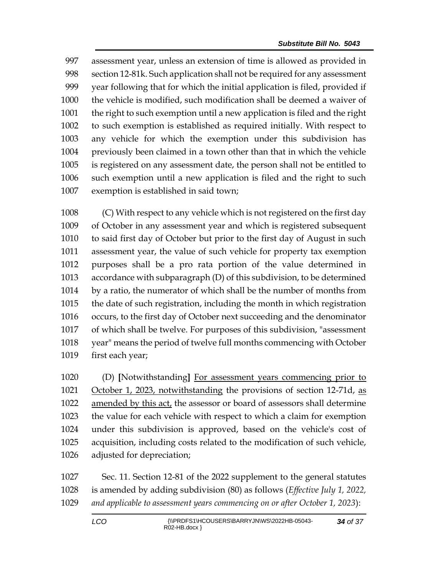assessment year, unless an extension of time is allowed as provided in section 12-81k. Such application shall not be required for any assessment year following that for which the initial application is filed, provided if the vehicle is modified, such modification shall be deemed a waiver of the right to such exemption until a new application is filed and the right to such exemption is established as required initially. With respect to any vehicle for which the exemption under this subdivision has previously been claimed in a town other than that in which the vehicle is registered on any assessment date, the person shall not be entitled to such exemption until a new application is filed and the right to such exemption is established in said town;

 (C) With respect to any vehicle which is not registered on the first day of October in any assessment year and which is registered subsequent to said first day of October but prior to the first day of August in such assessment year, the value of such vehicle for property tax exemption purposes shall be a pro rata portion of the value determined in accordance with subparagraph (D) of this subdivision, to be determined by a ratio, the numerator of which shall be the number of months from the date of such registration, including the month in which registration occurs, to the first day of October next succeeding and the denominator of which shall be twelve. For purposes of this subdivision, "assessment year" means the period of twelve full months commencing with October first each year;

 (D) **[**Notwithstanding**]** For assessment years commencing prior to 1021 October 1, 2023, notwithstanding the provisions of section 12-71d, as amended by this act, the assessor or board of assessors shall determine the value for each vehicle with respect to which a claim for exemption under this subdivision is approved, based on the vehicle's cost of acquisition, including costs related to the modification of such vehicle, adjusted for depreciation;

 Sec. 11. Section 12-81 of the 2022 supplement to the general statutes is amended by adding subdivision (80) as follows (*Effective July 1, 2022, and applicable to assessment years commencing on or after October 1, 2023*):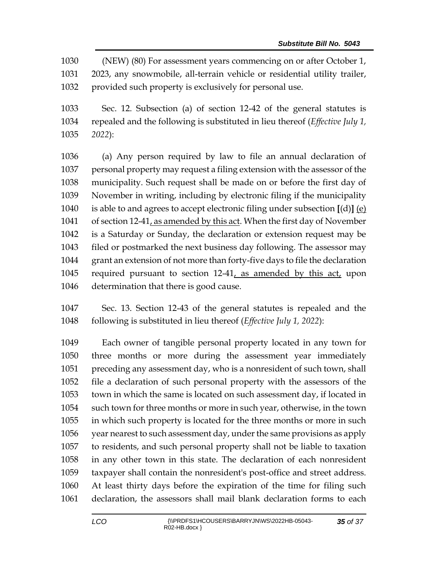(NEW) (80) For assessment years commencing on or after October 1, 2023, any snowmobile, all-terrain vehicle or residential utility trailer, provided such property is exclusively for personal use.

 Sec. 12. Subsection (a) of section 12-42 of the general statutes is repealed and the following is substituted in lieu thereof (*Effective July 1, 2022*):

 (a) Any person required by law to file an annual declaration of personal property may request a filing extension with the assessor of the municipality. Such request shall be made on or before the first day of November in writing, including by electronic filing if the municipality is able to and agrees to accept electronic filing under subsection **[**(d)**]** (e) of section 12-41, as amended by this act. When the first day of November is a Saturday or Sunday, the declaration or extension request may be filed or postmarked the next business day following. The assessor may grant an extension of not more than forty-five days to file the declaration required pursuant to section 12-41, as amended by this act, upon determination that there is good cause.

 Sec. 13. Section 12-43 of the general statutes is repealed and the following is substituted in lieu thereof (*Effective July 1, 2022*):

 Each owner of tangible personal property located in any town for three months or more during the assessment year immediately preceding any assessment day, who is a nonresident of such town, shall file a declaration of such personal property with the assessors of the town in which the same is located on such assessment day, if located in such town for three months or more in such year, otherwise, in the town in which such property is located for the three months or more in such year nearest to such assessment day, under the same provisions as apply to residents, and such personal property shall not be liable to taxation in any other town in this state. The declaration of each nonresident taxpayer shall contain the nonresident's post-office and street address. At least thirty days before the expiration of the time for filing such declaration, the assessors shall mail blank declaration forms to each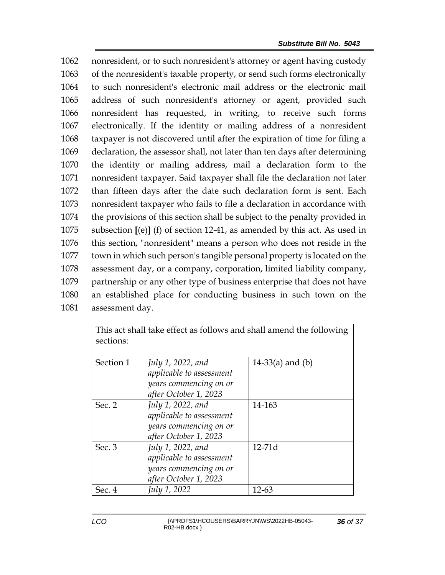nonresident, or to such nonresident's attorney or agent having custody of the nonresident's taxable property, or send such forms electronically to such nonresident's electronic mail address or the electronic mail address of such nonresident's attorney or agent, provided such nonresident has requested, in writing, to receive such forms electronically. If the identity or mailing address of a nonresident taxpayer is not discovered until after the expiration of time for filing a declaration, the assessor shall, not later than ten days after determining the identity or mailing address, mail a declaration form to the nonresident taxpayer. Said taxpayer shall file the declaration not later than fifteen days after the date such declaration form is sent. Each nonresident taxpayer who fails to file a declaration in accordance with the provisions of this section shall be subject to the penalty provided in subsection **[**(e)**]** (f) of section 12-41, as amended by this act. As used in this section, "nonresident" means a person who does not reside in the town in which such person's tangible personal property is located on the assessment day, or a company, corporation, limited liability company, partnership or any other type of business enterprise that does not have an established place for conducting business in such town on the assessment day.

| This act shall take effect as follows and shall amend the following<br>sections: |                                                                                                  |                    |  |
|----------------------------------------------------------------------------------|--------------------------------------------------------------------------------------------------|--------------------|--|
| Section 1                                                                        | July 1, 2022, and<br>applicable to assessment<br>years commencing on or<br>after October 1, 2023 | $14-33(a)$ and (b) |  |
| Sec. 2                                                                           | July 1, 2022, and<br>applicable to assessment<br>years commencing on or<br>after October 1, 2023 | 14-163             |  |
| Sec. 3                                                                           | July 1, 2022, and<br>applicable to assessment<br>years commencing on or<br>after October 1, 2023 | $12-71d$           |  |
| Sec. 4                                                                           | July 1, 2022                                                                                     | 12-63              |  |